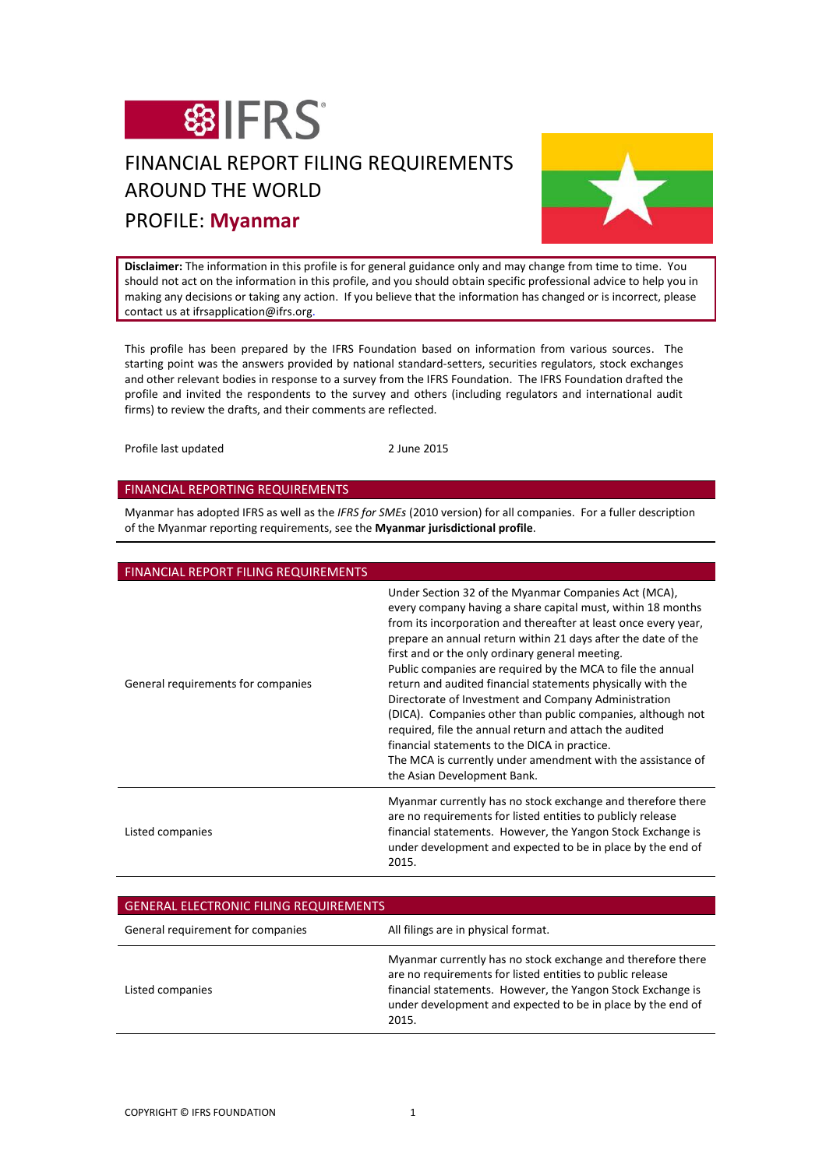

# FINANCIAL REPORT FILING REQUIREMENTS AROUND THE WORLD

## PROFILE: **Myanmar**



**Disclaimer:** The information in this profile is for general guidance only and may change from time to time. You should not act on the information in this profile, and you should obtain specific professional advice to help you in making any decisions or taking any action. If you believe that the information has changed or is incorrect, please contact us at ifrsapplication@ifrs.org.

This profile has been prepared by the IFRS Foundation based on information from various sources. The starting point was the answers provided by national standard-setters, securities regulators, stock exchanges and other relevant bodies in response to a survey from the IFRS Foundation. The IFRS Foundation drafted the profile and invited the respondents to the survey and others (including regulators and international audit firms) to review the drafts, and their comments are reflected.

Profile last updated 2 June 2015

#### FINANCIAL REPORTING REQUIREMENTS

Myanmar has adopted IFRS as well as the *IFRS for SMEs* (2010 version) for all companies. For a fuller description of the Myanmar reporting requirements, see the **Myanmar jurisdictional profile**.

| <b>FINANCIAL REPORT FILING REQUIREMENTS</b> |                                                                                                                                                                                                                                                                                                                                                                                                                                                                                                                                                                                                                                                                                                                                                                           |
|---------------------------------------------|---------------------------------------------------------------------------------------------------------------------------------------------------------------------------------------------------------------------------------------------------------------------------------------------------------------------------------------------------------------------------------------------------------------------------------------------------------------------------------------------------------------------------------------------------------------------------------------------------------------------------------------------------------------------------------------------------------------------------------------------------------------------------|
| General requirements for companies          | Under Section 32 of the Myanmar Companies Act (MCA),<br>every company having a share capital must, within 18 months<br>from its incorporation and thereafter at least once every year,<br>prepare an annual return within 21 days after the date of the<br>first and or the only ordinary general meeting.<br>Public companies are required by the MCA to file the annual<br>return and audited financial statements physically with the<br>Directorate of Investment and Company Administration<br>(DICA). Companies other than public companies, although not<br>required, file the annual return and attach the audited<br>financial statements to the DICA in practice.<br>The MCA is currently under amendment with the assistance of<br>the Asian Development Bank. |
| Listed companies                            | Myanmar currently has no stock exchange and therefore there<br>are no requirements for listed entities to publicly release<br>financial statements. However, the Yangon Stock Exchange is<br>under development and expected to be in place by the end of<br>2015.                                                                                                                                                                                                                                                                                                                                                                                                                                                                                                         |

| <b>GENERAL ELECTRONIC FILING REQUIREMENTS</b> |                                                                                                                                                                                                                                                                 |  |
|-----------------------------------------------|-----------------------------------------------------------------------------------------------------------------------------------------------------------------------------------------------------------------------------------------------------------------|--|
| General requirement for companies             | All filings are in physical format.                                                                                                                                                                                                                             |  |
| Listed companies                              | Myanmar currently has no stock exchange and therefore there<br>are no requirements for listed entities to public release<br>financial statements. However, the Yangon Stock Exchange is<br>under development and expected to be in place by the end of<br>2015. |  |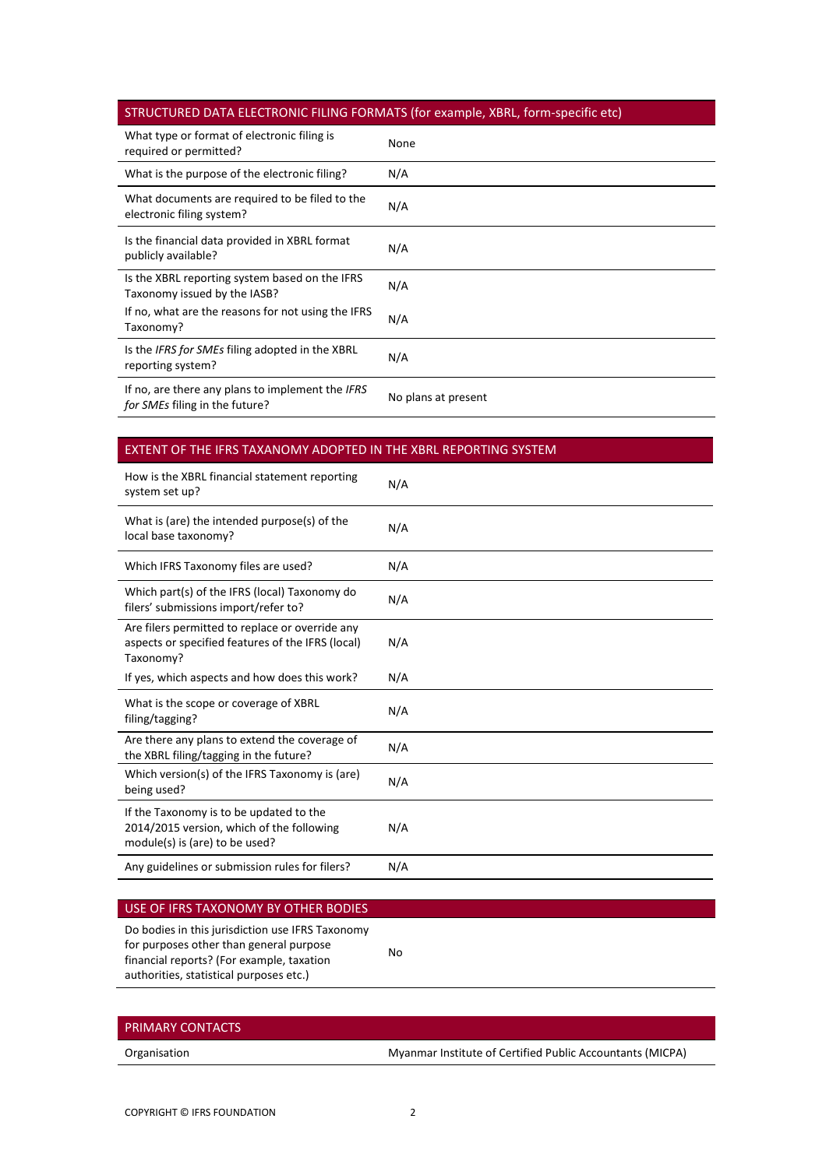#### STRUCTURED DATA ELECTRONIC FILING FORMATS (for example, XBRL, form-specific etc)

| What type or format of electronic filing is<br>required or permitted?              | None                |
|------------------------------------------------------------------------------------|---------------------|
| What is the purpose of the electronic filing?                                      | N/A                 |
| What documents are required to be filed to the<br>electronic filing system?        | N/A                 |
| Is the financial data provided in XBRL format<br>publicly available?               | N/A                 |
| Is the XBRL reporting system based on the IFRS<br>Taxonomy issued by the IASB?     | N/A                 |
| If no, what are the reasons for not using the IFRS<br>Taxonomy?                    | N/A                 |
| Is the IFRS for SMEs filing adopted in the XBRL<br>reporting system?               | N/A                 |
| If no, are there any plans to implement the IFRS<br>for SMEs filing in the future? | No plans at present |

### EXTENT OF THE IFRS TAXANOMY ADOPTED IN THE XBRL REPORTING SYSTEM

| How is the XBRL financial statement reporting<br>system set up?                                                        | N/A |
|------------------------------------------------------------------------------------------------------------------------|-----|
| What is (are) the intended purpose(s) of the<br>local base taxonomy?                                                   | N/A |
| Which IFRS Taxonomy files are used?                                                                                    | N/A |
| Which part(s) of the IFRS (local) Taxonomy do<br>filers' submissions import/refer to?                                  | N/A |
| Are filers permitted to replace or override any<br>aspects or specified features of the IFRS (local)<br>Taxonomy?      | N/A |
| If yes, which aspects and how does this work?                                                                          | N/A |
| What is the scope or coverage of XBRL<br>filing/tagging?                                                               | N/A |
| Are there any plans to extend the coverage of<br>the XBRL filing/tagging in the future?                                | N/A |
| Which version(s) of the IFRS Taxonomy is (are)<br>being used?                                                          | N/A |
| If the Taxonomy is to be updated to the<br>2014/2015 version, which of the following<br>module(s) is (are) to be used? | N/A |
| Any guidelines or submission rules for filers?                                                                         | N/A |

#### USE OF IFRS TAXONOMY BY OTHER BODIES

| Do bodies in this jurisdiction use IFRS Taxonomy |    |
|--------------------------------------------------|----|
| for purposes other than general purpose          | No |
| financial reports? (For example, taxation        |    |
| authorities, statistical purposes etc.)          |    |

| PRIMARY CONTACTS |                                                           |
|------------------|-----------------------------------------------------------|
| Organisation     | Myanmar Institute of Certified Public Accountants (MICPA) |